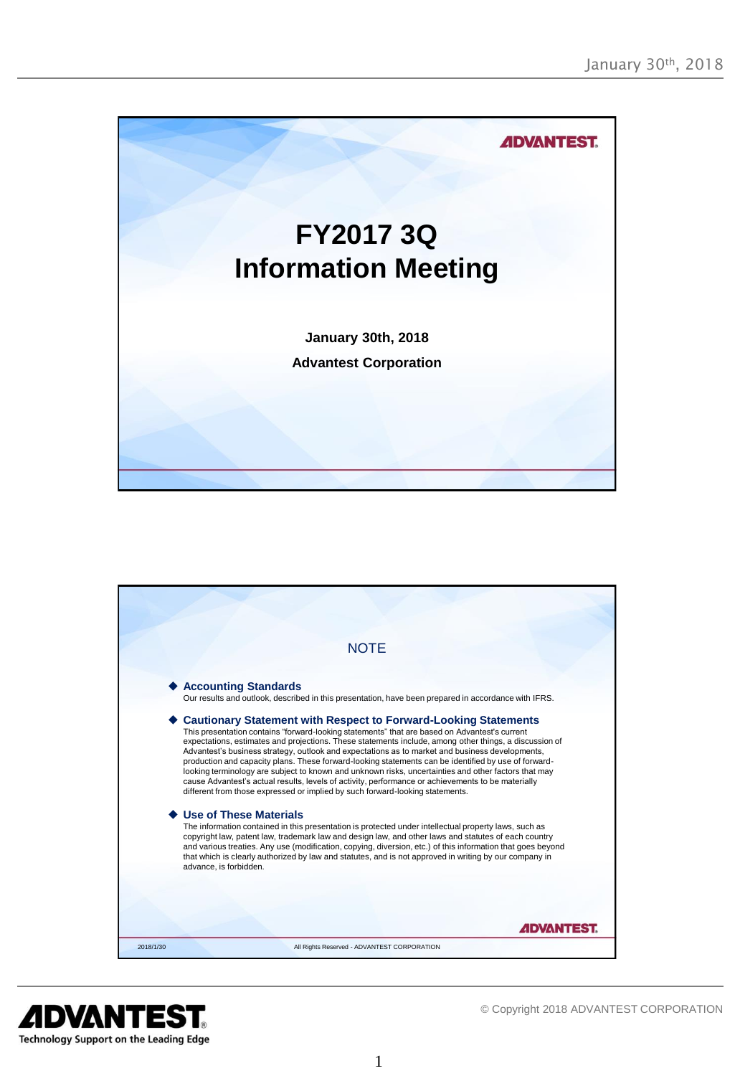



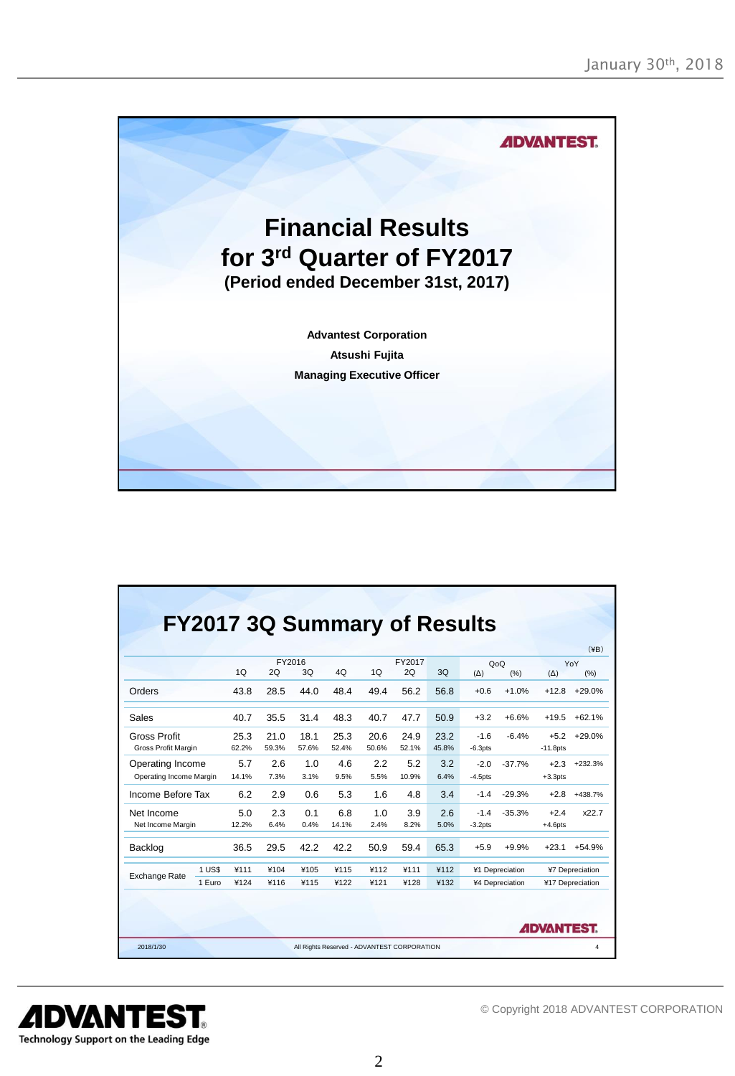

|                                             |        |               |               |               |               |               |               |               |                      |                                                                           |                       | $(\yen B)$ |
|---------------------------------------------|--------|---------------|---------------|---------------|---------------|---------------|---------------|---------------|----------------------|---------------------------------------------------------------------------|-----------------------|------------|
|                                             |        | 1Q            | 2Q            | FY2016<br>3Q  | 4O            | 1Q            | FY2017<br>2Q  | 3Q            | QoQ<br>$(\Delta)$    | (% )                                                                      | $(\Delta)$            | YoY<br>(%) |
| Orders                                      |        | 43.8          | 28.5          | 44.0          | 48.4          | 49.4          | 56.2          | 56.8          | $+0.6$               | $+1.0%$                                                                   | $+12.8$               | $+29.0%$   |
| Sales                                       |        | 40.7          | 35.5          | 31.4          | 48.3          | 40.7          | 47.7          | 50.9          | $+3.2$               | $+6.6%$                                                                   | $+19.5$               | $+62.1%$   |
| <b>Gross Profit</b><br>Gross Profit Margin  |        | 25.3<br>62.2% | 21.0<br>59.3% | 18.1<br>57.6% | 25.3<br>52.4% | 20.6<br>50.6% | 24.9<br>52.1% | 23.2<br>45.8% | $-1.6$<br>$-6.3pts$  | $-6.4%$                                                                   | $+5.2$<br>$-11.8$ pts | $+29.0%$   |
| Operating Income<br>Operating Income Margin |        | 5.7<br>14.1%  | 2.6<br>7.3%   | 1.0<br>3.1%   | 4.6<br>9.5%   | 2.2<br>5.5%   | 5.2<br>10.9%  | 3.2<br>6.4%   | $-2.0$<br>$-4.5$ pts | $-37.7%$                                                                  | $+2.3$<br>$+3.3$ pts  | $+232.3%$  |
| Income Before Tax                           |        | 6.2           | 2.9           | 0.6           | 5.3           | 1.6           | 4.8           | 3.4           | $-1.4$               | $-29.3%$                                                                  | $+2.8$                | $+438.7%$  |
| Net Income<br>Net Income Margin             |        | 5.0<br>12.2%  | 2.3<br>6.4%   | 0.1<br>0.4%   | 6.8<br>14.1%  | 1.0<br>2.4%   | 3.9<br>8.2%   | 2.6<br>5.0%   | $-1.4$<br>$-3.2pts$  | $-35.3%$                                                                  | $+2.4$<br>$+4.6$ pts  | x22.7      |
| Backlog                                     |        | 36.5          | 29.5          | 42.2          | 42.2          | 50.9          | 59.4          | 65.3          | $+5.9$               | $+9.9%$                                                                   | $+23.1$               | $+54.9%$   |
| <b>Exchange Rate</b>                        | 1 US\$ | ¥111          | ¥104          | ¥105          | ¥115          | ¥112          | ¥111          | ¥112          |                      | ¥1 Depreciation<br>¥7 Depreciation<br>¥4 Depreciation<br>¥17 Depreciation |                       |            |
|                                             | 1 Euro | ¥124          | ¥116          | ¥115          | ¥122          | ¥121          | ¥128          | ¥132          |                      |                                                                           |                       |            |

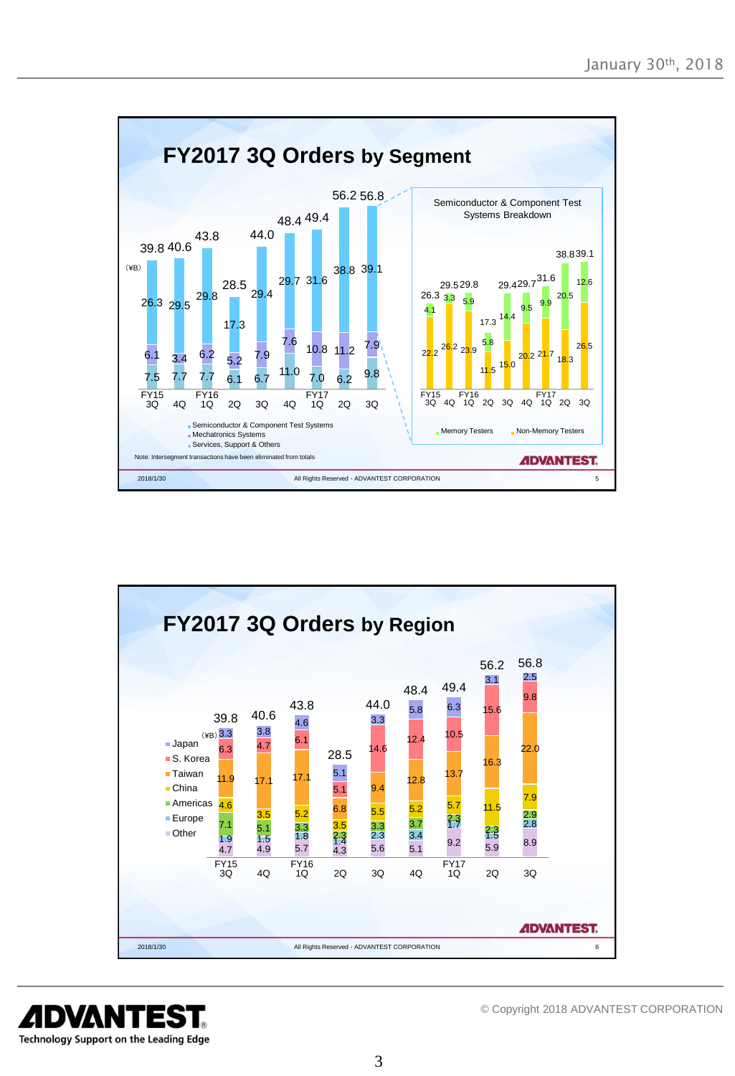



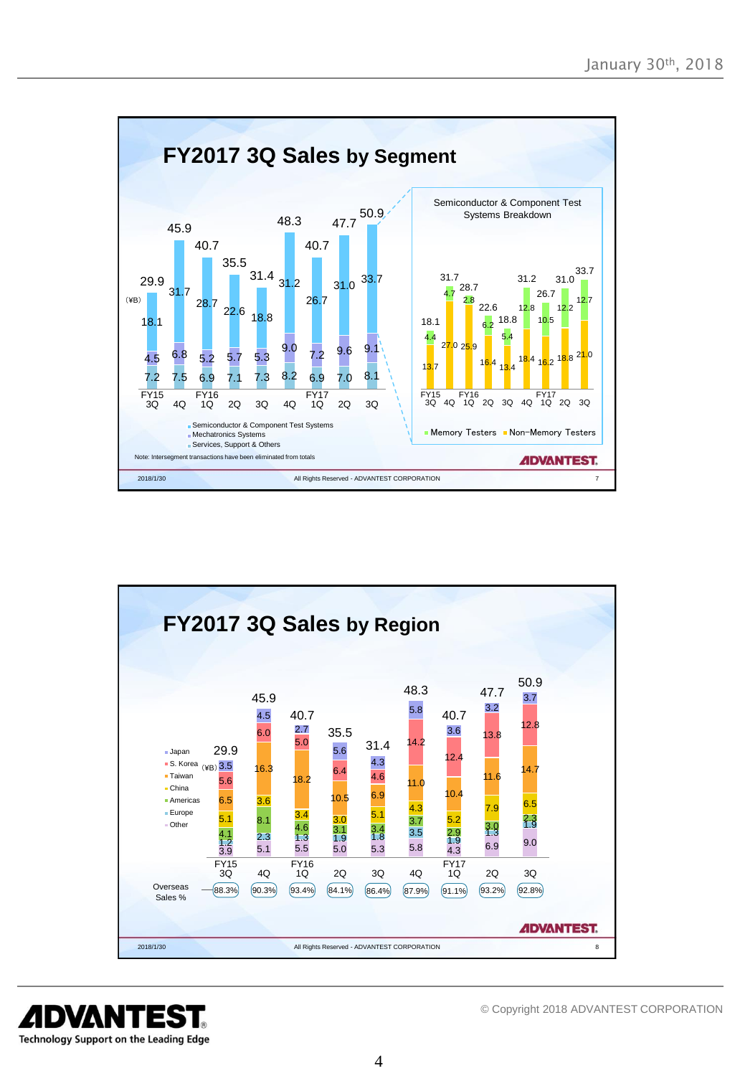



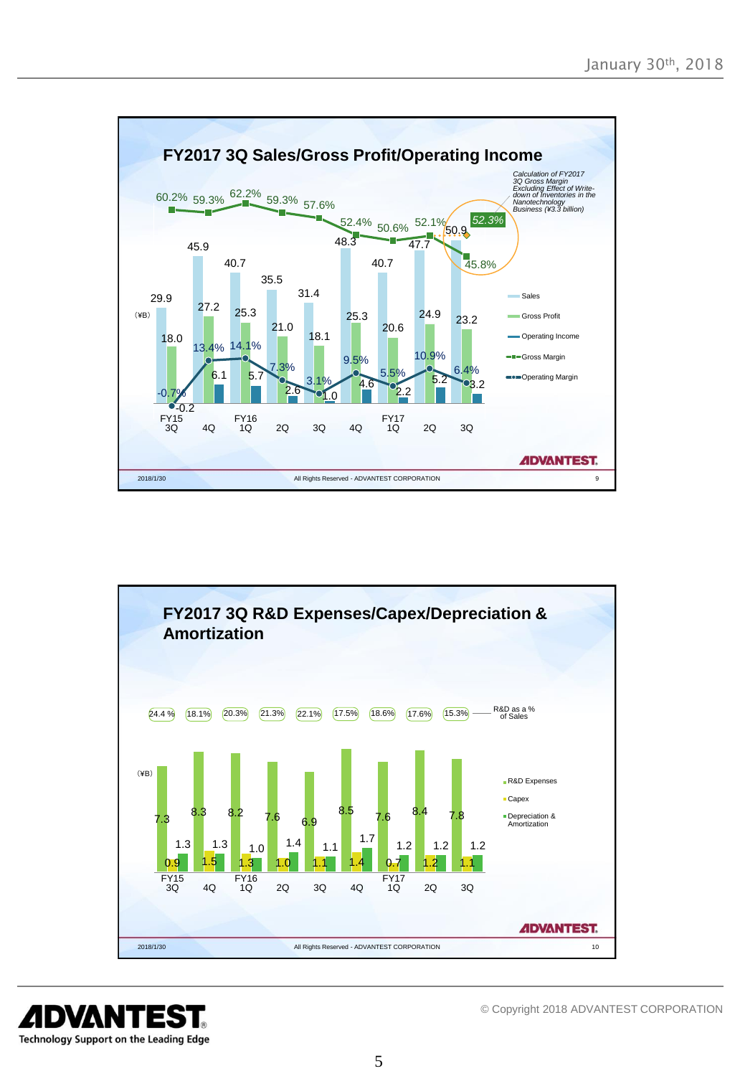



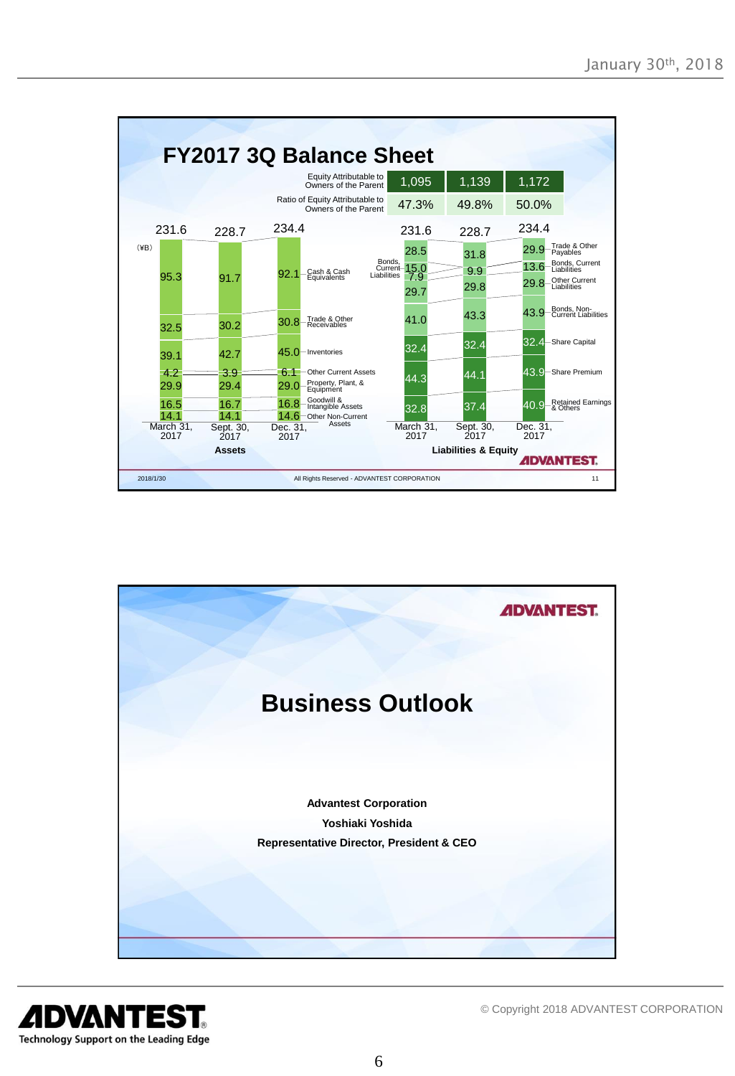



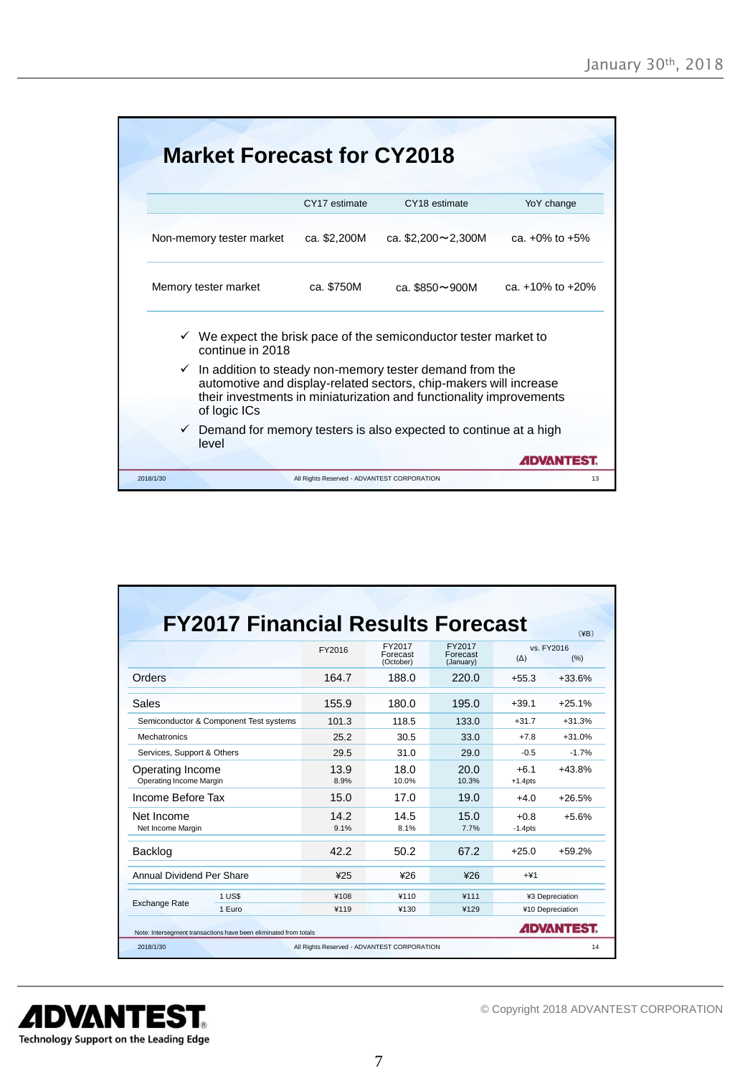|           | <b>Market Forecast for CY2018</b>                                                                                                                                                                                   |                                             |                                                                               |                        |  |  |
|-----------|---------------------------------------------------------------------------------------------------------------------------------------------------------------------------------------------------------------------|---------------------------------------------|-------------------------------------------------------------------------------|------------------------|--|--|
|           |                                                                                                                                                                                                                     | CY17 estimate                               | CY18 estimate                                                                 | YoY change             |  |  |
|           | Non-memory tester market                                                                                                                                                                                            | ca. \$2,200M                                | ca. $$2,200 \sim 2,300M$                                                      | ca. $+0\%$ to $+5\%$   |  |  |
|           | Memory tester market                                                                                                                                                                                                | ca. \$750M                                  | ca. \$850~900M                                                                | ca. $+10\%$ to $+20\%$ |  |  |
|           | continue in 2018                                                                                                                                                                                                    |                                             | $\checkmark$ We expect the brisk pace of the semiconductor tester market to   |                        |  |  |
| ✓         | In addition to steady non-memory tester demand from the<br>automotive and display-related sectors, chip-makers will increase<br>their investments in miniaturization and functionality improvements<br>of logic ICs |                                             |                                                                               |                        |  |  |
|           | level                                                                                                                                                                                                               |                                             | $\checkmark$ Demand for memory testers is also expected to continue at a high | <b>ADVANTEST</b>       |  |  |
| 2018/1/30 |                                                                                                                                                                                                                     | All Rights Reserved - ADVANTEST CORPORATION |                                                                               | 13                     |  |  |

| <b>FY2017 Financial Results Forecast</b>    |              |                                 |                                 |                      | $(\yen B)$         |
|---------------------------------------------|--------------|---------------------------------|---------------------------------|----------------------|--------------------|
|                                             | FY2016       | FY2017<br>Forecast<br>(October) | FY2017<br>Forecast<br>(January) | $(\Delta)$           | vs. FY2016<br>(% ) |
| Orders                                      | 164.7        | 188.0                           | 220.0                           | $+55.3$              | $+33.6%$           |
| Sales                                       | 155.9        | 180.0                           | 195.0                           | $+39.1$              | $+25.1%$           |
| Semiconductor & Component Test systems      | 101.3        | 118.5                           | 133.0                           | $+31.7$              | $+31.3%$           |
| Mechatronics                                | 25.2         | 30.5                            | 33.0                            | $+7.8$               | $+31.0%$           |
| Services, Support & Others                  | 29.5         | 31.0                            | 29.0                            | $-0.5$               | $-1.7%$            |
| Operating Income<br>Operating Income Margin | 13.9<br>8.9% | 18.0<br>10.0%                   | 20.0<br>10.3%                   | $+6.1$<br>$+1.4$ pts | $+43.8%$           |
| Income Before Tax                           | 15.0         | 17.0                            | 19.0                            | $+40$                | $+26.5%$           |
| Net Income<br>Net Income Margin             | 14.2<br>9.1% | 14.5<br>8.1%                    | 15.0<br>7.7%                    | $+0.8$<br>$-1.4$ pts | $+5.6%$            |
| <b>Backlog</b>                              | 42.2         | 50.2                            | 67.2                            | $+25.0$              | $+59.2%$           |
| Annual Dividend Per Share                   | 425          | 426                             | 426                             | $+41$                |                    |
| 1 US\$                                      | ¥108         | ¥110                            | ¥111                            |                      | ¥3 Depreciation    |
| <b>Exchange Rate</b><br>1 Euro              | ¥119         | ¥130                            | ¥129                            |                      | ¥10 Depreciation   |

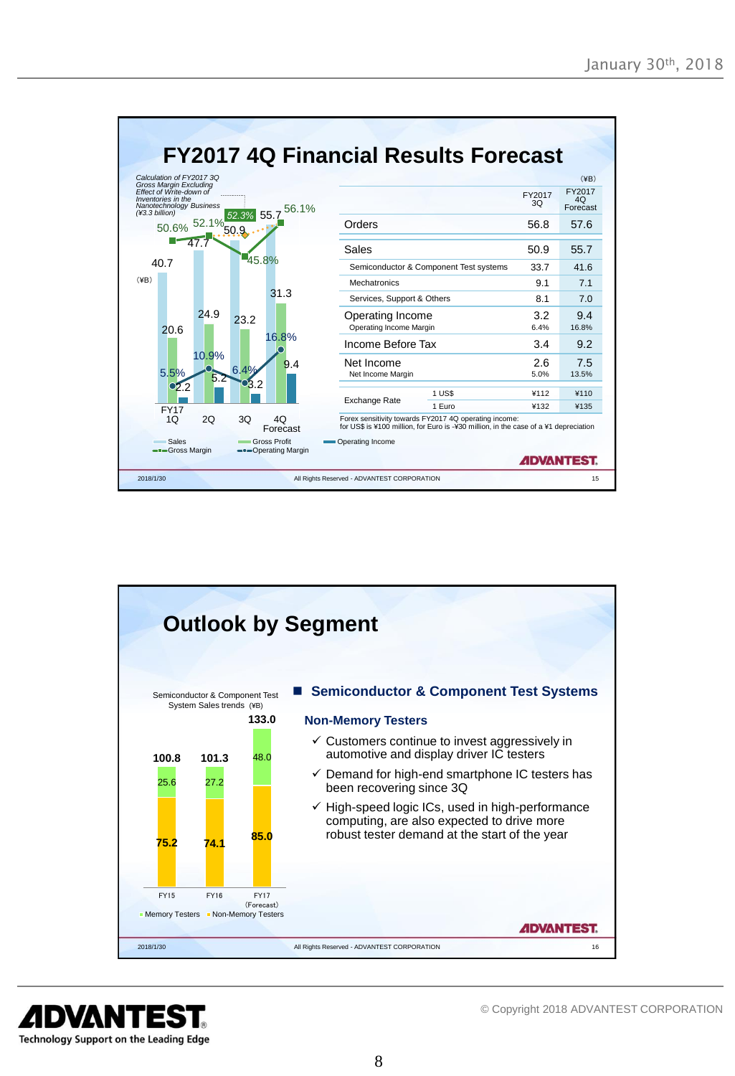|                                                                                                                                                           |                                   | <b>FY2017 4Q Financial Results Forecast</b>                                                                                                   |              |                                  |
|-----------------------------------------------------------------------------------------------------------------------------------------------------------|-----------------------------------|-----------------------------------------------------------------------------------------------------------------------------------------------|--------------|----------------------------------|
| Calculation of FY2017 3Q<br><b>Gross Margin Excluding</b><br>Effect of Write-down of<br>Inventories in the<br>Nanotechnology Business<br>$(*3.3 billion)$ | 56.1%<br>52.3% 55.7               |                                                                                                                                               | FY2017<br>30 | (4B)<br>FY2017<br>4O<br>Forecast |
| 50.6% 52.1% 50.9                                                                                                                                          |                                   | Orders                                                                                                                                        | 56.8         | 57.6                             |
|                                                                                                                                                           |                                   | Sales                                                                                                                                         | 50.9         | 55.7                             |
| 40.7                                                                                                                                                      | 45.8%                             | Semiconductor & Component Test systems                                                                                                        | 33.7         | 416                              |
| $(\yen B)$                                                                                                                                                |                                   | Mechatronics                                                                                                                                  | 9.1          | 7.1                              |
|                                                                                                                                                           | 31.3                              | Services, Support & Others                                                                                                                    | 81           | 7.0                              |
| 24.9<br>20.6                                                                                                                                              | 23.2                              | Operating Income<br>Operating Income Margin                                                                                                   | 3.2<br>6.4%  | 9.4<br>16.8%                     |
|                                                                                                                                                           | 16.8%                             | Income Before Tax                                                                                                                             | 3.4          | 9.2                              |
| 10.9%<br>6.4%<br>5.5%<br>b.                                                                                                                               | 9.4                               | Net Income<br>Net Income Margin                                                                                                               | 2.6<br>5.0%  | 7.5<br>13.5%                     |
| $\mathbf{O}2.2$                                                                                                                                           |                                   | 1 US\$                                                                                                                                        | ¥112         | ¥110                             |
| <b>FY17</b>                                                                                                                                               |                                   | <b>Exchange Rate</b><br>1 Euro                                                                                                                | ¥132         | ¥135                             |
| 2O<br>1 <sub>O</sub>                                                                                                                                      | 30<br>40<br>Forecast              | Forex sensitivity towards FY2017 4Q operating income:<br>for US\$ is ¥100 million, for Euro is -¥30 million, in the case of a ¥1 depreciation |              |                                  |
| Sales<br>- Gross Margin                                                                                                                                   | Gross Profit<br>-Operating Margin | Operating Income                                                                                                                              |              | <b>ADVANTEST.</b>                |
| 2018/1/30                                                                                                                                                 |                                   | All Rights Reserved - ADVANTEST CORPORATION                                                                                                   |              | 15                               |



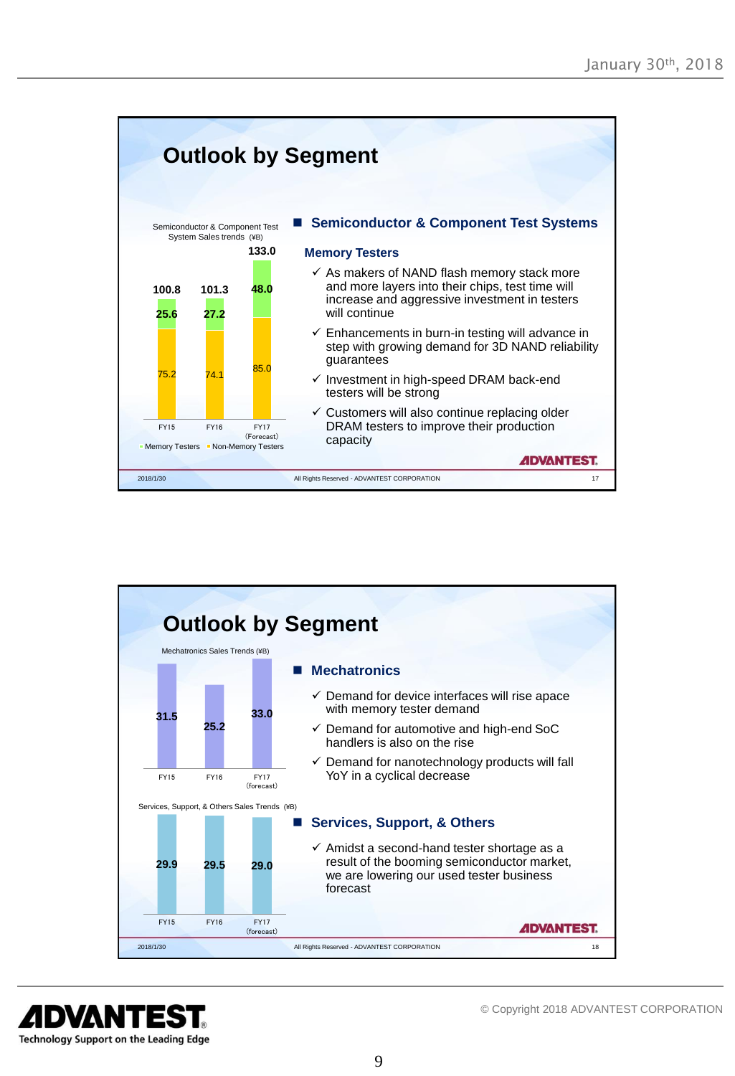